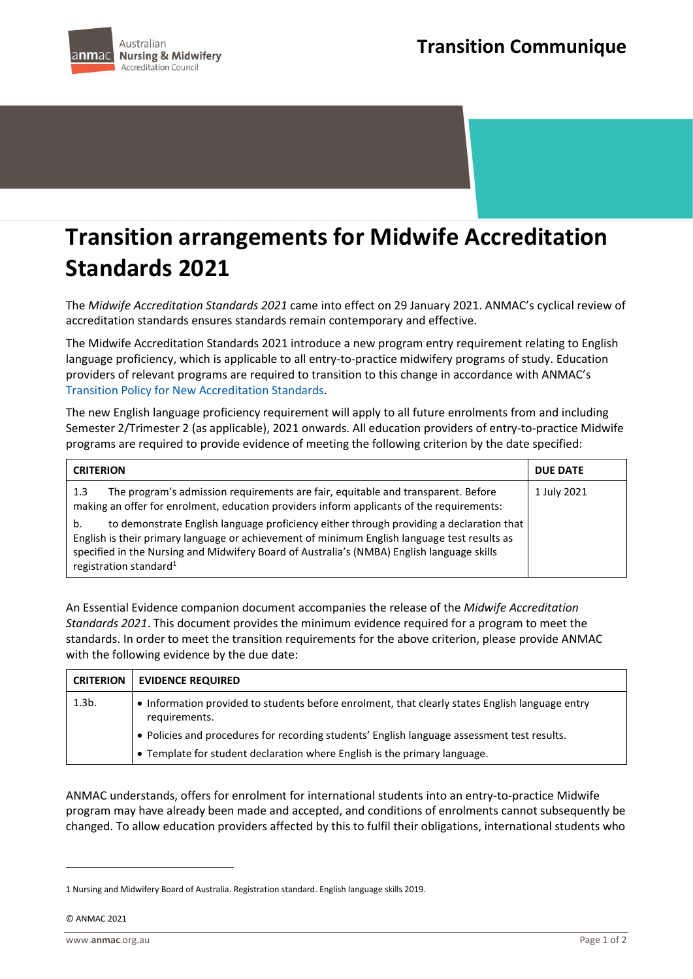## **Transition arrangements for Midwife Accreditation Standards 2021**

The *Midwife Accreditation Standards 2021* came into effect on 29 January 2021. ANMAC's cyclical review of accreditation standards ensures standards remain contemporary and effective.

The Midwife Accreditation Standards 2021 introduce a new program entry requirement relating to English language proficiency, which is applicable to all entry-to-practice midwifery programs of study. Education providers of relevant programs are required to transition to this change in accordance with ANMAC's [Transition Policy for New Accreditation Standards.](https://www.anmac.org.au/sites/default/files/documents/transitionpolicyfornewaccreditationstandards.pdf)

The new English language proficiency requirement will apply to all future enrolments from and including Semester 2/Trimester 2 (as applicable), 2021 onwards. All education providers of entry-to-practice Midwife programs are required to provide evidence of meeting the following criterion by the date specified:

| <b>CRITERION</b>                                                                                                                                                                                                                                                                                                                                                                                                                                                                                                          | <b>DUE DATE</b> |
|---------------------------------------------------------------------------------------------------------------------------------------------------------------------------------------------------------------------------------------------------------------------------------------------------------------------------------------------------------------------------------------------------------------------------------------------------------------------------------------------------------------------------|-----------------|
| The program's admission requirements are fair, equitable and transparent. Before<br>1.3<br>making an offer for enrolment, education providers inform applicants of the requirements:<br>to demonstrate English language proficiency either through providing a declaration that<br>b.<br>English is their primary language or achievement of minimum English language test results as<br>specified in the Nursing and Midwifery Board of Australia's (NMBA) English language skills<br>registration standard <sup>1</sup> | 1 July 2021     |

An Essential Evidence companion document accompanies the release of the *Midwife Accreditation Standards 2021*. This document provides the minimum evidence required for a program to meet the standards. In order to meet the transition requirements for the above criterion, please provide ANMAC with the following evidence by the due date:

| <b>CRITERION</b> | <b>EVIDENCE REQUIRED</b>                                                                                         |
|------------------|------------------------------------------------------------------------------------------------------------------|
| $1.3b$ .         | • Information provided to students before enrolment, that clearly states English language entry<br>requirements. |
|                  | . Policies and procedures for recording students' English language assessment test results.                      |
|                  | • Template for student declaration where English is the primary language.                                        |

ANMAC understands, offers for enrolment for international students into an entry-to-practice Midwife program may have already been made and accepted, and conditions of enrolments cannot subsequently be changed. To allow education providers affected by this to fulfil their obligations, international students who

© ANMAC 2021

<sup>1</sup> Nursing and Midwifery Board of Australia. Registration standard. English language skills 2019.